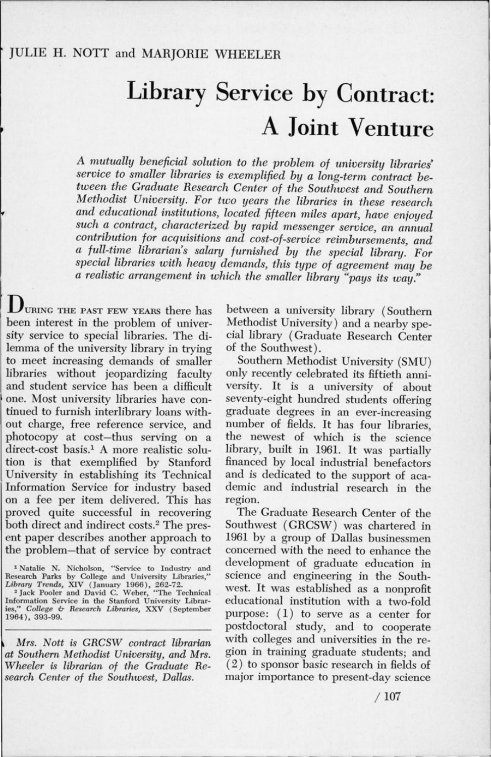## Library Service by Contract: A **Joint Venture**

*A mutually beneficial solution to the problem of university libraries service to smaller libraries is exemplified by a long-term contract between the Graduate Research Center of the Southwest and Southern Methodist University. For two years the libraries in these research and educational institutions, located fifteen miles apart, have enjoyed such a contract, characterized by rapid messenger service, an annual contribution for acquisitions and cost-of-service reimbursements, and a full-time librarian's salary furnished by the special library. For special libraries with heavy demands, this type of agreement may be a realistic arrangement in which the smaller library "pays its way."* 

UURING THE PAST FEW YEARS there has been interest in the problem of university service to special libraries. The dilemma of the university library in trying to meet increasing demands of smaller libraries without jeopardizing faculty and student service has been a difficult one. Most university libraries have continued to furnish interlibrary loans without charge, free reference service, and photocopy at cost-thus serving on a direct-cost basis.1 A more realistic solution is that exemplified by Stanford University in establishing its Technical Information Service for industry based on a fee per item delivered. This has proved quite successful in recovering both direct and indirect costs.<sup>2</sup> The present paper describes another approach to the problem-that of service by contract

*Mrs. Nott is GRCSW contract librarian at Southern Methodist University, and Mrs. Wheeler is librarian of the Graduate Research Center of the Southwest, Dallas.* 

between a university library (Southern Methodist University) and a nearby special library (Graduate Research Center of the Southwest).

Southern Methodist University (SMU) only recently celebrated its fiftieth anniversity. It is a university of about seventy-eight hundred students offering graduate degrees in an ever-increasing number of fields. It has four libraries, the newest of which is the science library, built in 1961. It was partially financed by local industrial benefactors and is dedicated to the support of academic and industrial research in the region.

The Graduate Research Center of the Southwest ( GRCSW) was chartered in 1961 by a group of Dallas businessmen concerned with the need to enhance the development of graduate education in science and engineering in the Southwest. It was established as a nonprofit educational institution with a two-fold purpose:  $(1)$  to serve as a center for postdoctoral study, and to cooperate with colleges and universities in the region in training graduate students; and ( 2 ) to sponsor basic research in fields of major importance to present-day science

<sup>&</sup>lt;sup>1</sup> Natalie N. Nicholson, "Service to Industry and Research Parks by College and University Libraries,"<br> *Library Trends,* XIV (January 1966), 262-72.<br>
<sup>2</sup> Jack Pooler and David C. Weber, "The Technical

Information Service in the Stanford University Librar-ies," *College* & *Research Libraries,* XXV (September 1964), 393-99.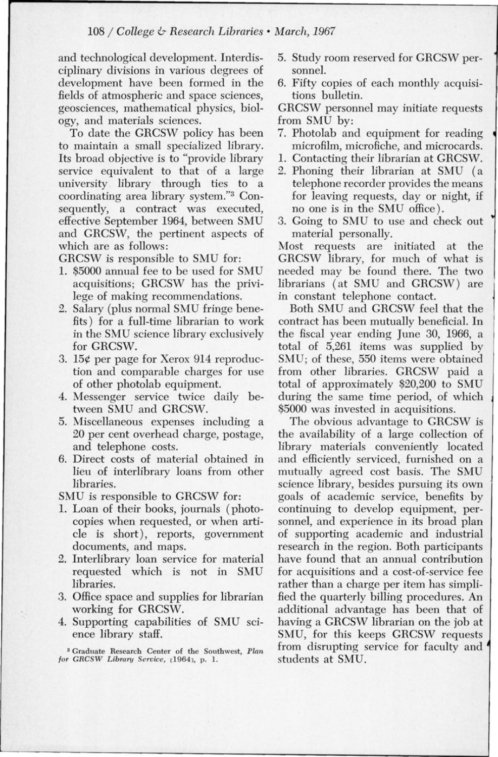and technological development. Interdisciplinary divisions in various degrees of development have been formed in the fields of atmospheric and space sciences, geosciences, mathematical physics, biology, and materials sciences.

To date the GRCSW policy has been to maintain a small specialized library. Its broad objective is to "provide library service equivalent to that of a large university library through ties to a coordinating area library system."3 Consequently, a contract was executed, effective September 1964, between SMU and GRCSW, the pertinent aspects of which are as follows:

GRCSW is responsible to SMU for:

- 1. \$5000 annual fee to be used for SMU acquisitions; GRCSW has the privilege of making recommendations.
- 2. Salary (plus normal SMU fringe benefits) for a full-time librarian to work in the SMU science library exclusively for GRCSW.
- 3. 15¢ per page for Xerox 914 reproduction and comparable charges for use of other photolab equipment.
- 4. Messenger service twice daily between SMU and GRCSW.
- 5. Miscellaneous expenses including a 20 per cent overhead charge, postage, and telephone costs.
- 6. Direct costs of material obtained in lieu of interlibrary loans from other libraries.

SMU is responsible to GRCSW for:

- 1. Loan of their books, journals (photocopies when requested, or when article is short), reports, government documents, and maps.
- 2. Interlibrary loan service for material requested which is not in SMU libraries.
- 3. Office space and supplies for librarian working for GRCSW.
- 4. Supporting capabilities of SMU science library staff.
- 5. Study room reserved for GRCSW personnel.
- 6. Fifty copies of each monthly acquisitions bulletin.

GRCSW personnel may initiate requests from SMU by:

- 7. Photolab and equipment for reading microfilm, microfiche, and microcards.
- 1. Contacting their librarian at GRCSW.
- 2. Phoning their librarian at SMU (a telephone recorder provides the means for leaving requests, day or night, if no one is in the SMU office).
- 3. Going to SMU to use and check out <sup>~</sup> material personally.

Most requests are initiated at the GRCSW library, for much of what is needed may be found there. The two librarians (at SMU and GRCSW) are in constant telephone contact.

Both SMU and GRCSW feel that the contract has been mutually beneficial. In the fiscal year ending June 30, 1966, a total of 5,261 items was supplied by SMU; of these, 550 items were obtained from other libraries. GRCSW paid a total of approximately \$20,200 to SMU during the same time period, of which \$5000 was invested in acquisitions.

The obvious advantage to GRCSW is the availability of a large collection of library materials conveniently located and efficiently serviced, furnished on a mutually agreed cost basis. The SMU science library, besides pursuing its own goals of academic service, benefits by continuing to develop equipment, personnel, and experience in its broad plan of supporting academic and industrial research in the region. Both participants have found that an annual contribution for acquisitions and a cost-of-service fee rather than a charge per item has simplified the quarterly billing procedures. An additional advantage has been that of having a GRCSW librarian on the job at SMU, for this keeps GRCSW requests from disrupting service for faculty and *<sup>4</sup>* students at SMU.

<sup>3</sup> Graduate Research Center of the Southwest, Plan *for* GRCSW *Library Service,* [1964J, p. 1.